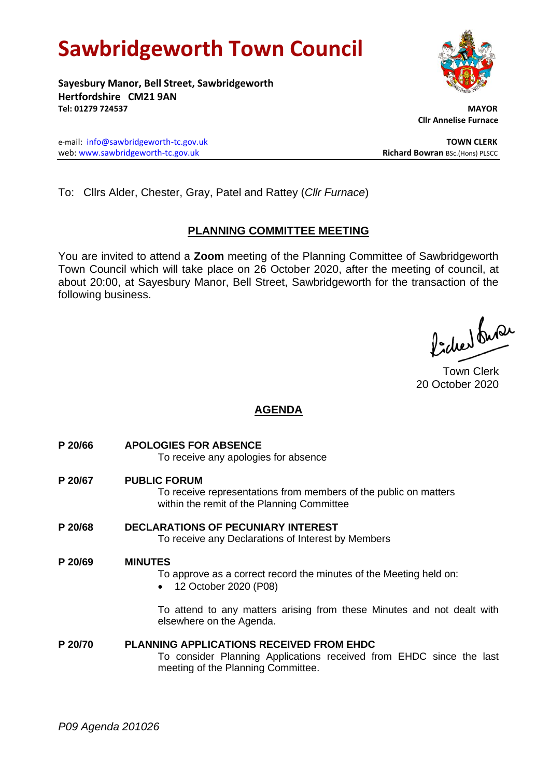# **Sawbridgeworth Town Council**

**Sayesbury Manor, Bell Street, Sawbridgeworth Hertfordshire CM21 9AN Tel: 01279 724537 MAYOR**

e-mail: [info@sawbridgeworth-tc.gov.uk](mailto:info@sawbridgeworth-tc.gov.uk) **TOWN CLERK** web: www.sawbridgeworth-tc.gov.uk<br> **Richard Bowran** BSc.(Hons) PLSCC

To: Cllrs Alder, Chester, Gray, Patel and Rattey (*Cllr Furnace*)

# **PLANNING COMMITTEE MEETING**

You are invited to attend a **Zoom** meeting of the Planning Committee of Sawbridgeworth Town Council which will take place on 26 October 2020, after the meeting of council, at about 20:00, at Sayesbury Manor, Bell Street, Sawbridgeworth for the transaction of the following business.

ladres buse

Town Clerk 20 October 2020

# **AGENDA**

- **P 20/66 APOLOGIES FOR ABSENCE** To receive any apologies for absence
- **P 20/67 PUBLIC FORUM** To receive representations from members of the public on matters within the remit of the Planning Committee
- **P 20/68 DECLARATIONS OF PECUNIARY INTEREST** To receive any Declarations of Interest by Members

# **P 20/69 MINUTES**

To approve as a correct record the minutes of the Meeting held on:

• 12 October 2020 (P08)

To attend to any matters arising from these Minutes and not dealt with elsewhere on the Agenda.

**P 20/70 PLANNING APPLICATIONS RECEIVED FROM EHDC** To consider Planning Applications received from EHDC since the last meeting of the Planning Committee.

 **Cllr Annelise Furnace**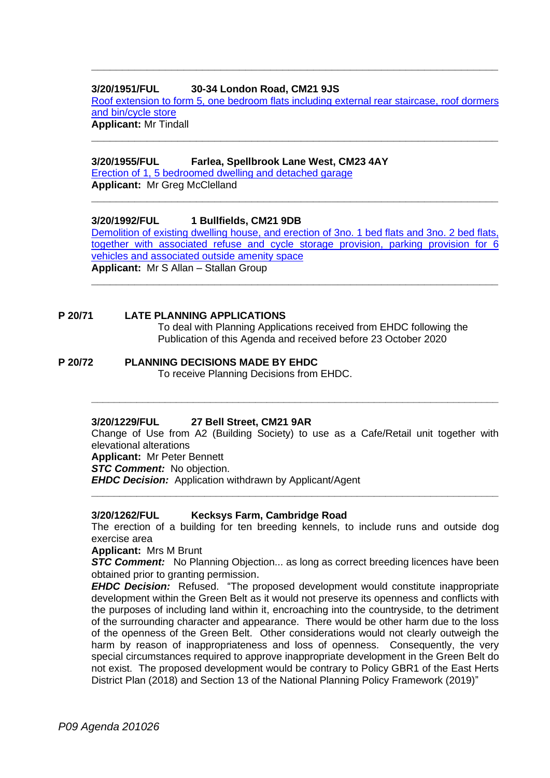## **3/20/1951/FUL 30-34 London Road, CM21 9JS**

Roof extension to [form 5, one bedroom flats including external rear staircase, roof dormers](https://publicaccess.eastherts.gov.uk/online-applications/applicationDetails.do?activeTab=documents&keyVal=QHW1SMGLIUP00)  [and bin/cycle store](https://publicaccess.eastherts.gov.uk/online-applications/applicationDetails.do?activeTab=documents&keyVal=QHW1SMGLIUP00)

**\_\_\_\_\_\_\_\_\_\_\_\_\_\_\_\_\_\_\_\_\_\_\_\_\_\_\_\_\_\_\_\_\_\_\_\_\_\_\_\_\_\_\_\_\_\_\_\_\_\_\_\_\_\_\_\_\_\_\_\_\_\_\_\_\_\_**

**Applicant:** Mr Tindall **\_\_\_\_\_\_\_\_\_\_\_\_\_\_\_\_\_\_\_\_\_\_\_\_\_\_\_\_\_\_\_\_\_\_\_\_\_\_\_\_\_\_\_\_\_\_\_\_\_\_\_\_\_\_\_\_\_\_\_\_\_\_\_\_\_\_**

## **3/20/1955/FUL Farlea, Spellbrook Lane West, CM23 4AY**

[Erection of 1, 5 bedroomed dwelling and](https://publicaccess.eastherts.gov.uk/online-applications/applicationDetails.do?activeTab=documents&keyVal=QHW1VJGLIUZ00) detached garage

**Applicant:** Mr Greg McClelland **\_\_\_\_\_\_\_\_\_\_\_\_\_\_\_\_\_\_\_\_\_\_\_\_\_\_\_\_\_\_\_\_\_\_\_\_\_\_\_\_\_\_\_\_\_\_\_\_\_\_\_\_\_\_\_\_\_\_\_\_\_\_\_\_\_\_**

**3/20/1992/FUL 1 Bullfields, CM21 9DB**

[Demolition of existing dwelling house, and erection of 3no. 1 bed flats and 3no. 2 bed flats,](https://publicaccess.eastherts.gov.uk/online-applications/applicationDetails.do?activeTab=documents&keyVal=QI6JZBGLIXN00)  [together with associated refuse and cycle storage provision, parking provision for 6](https://publicaccess.eastherts.gov.uk/online-applications/applicationDetails.do?activeTab=documents&keyVal=QI6JZBGLIXN00)  [vehicles and associated outside amenity](https://publicaccess.eastherts.gov.uk/online-applications/applicationDetails.do?activeTab=documents&keyVal=QI6JZBGLIXN00) space **Applicant:** Mr S Allan – Stallan Group

**\_\_\_\_\_\_\_\_\_\_\_\_\_\_\_\_\_\_\_\_\_\_\_\_\_\_\_\_\_\_\_\_\_\_\_\_\_\_\_\_\_\_\_\_\_\_\_\_\_\_\_\_\_\_\_\_\_\_\_\_\_\_\_\_\_\_**

## **P 20/71 LATE PLANNING APPLICATIONS**

To deal with Planning Applications received from EHDC following the Publication of this Agenda and received before 23 October 2020

**P 20/72 PLANNING DECISIONS MADE BY EHDC** To receive Planning Decisions from EHDC.

## **3/20/1229/FUL 27 Bell Street, CM21 9AR**

Change of Use from A2 (Building Society) to use as a Cafe/Retail unit together with elevational alterations **Applicant:** Mr Peter Bennett **STC Comment:** No objection. *EHDC Decision:* Application withdrawn by Applicant/Agent

**\_\_\_\_\_\_\_\_\_\_\_\_\_\_\_\_\_\_\_\_\_\_\_\_\_\_\_\_\_\_\_\_\_\_\_\_\_\_\_\_\_\_\_\_\_\_\_\_\_\_\_\_\_\_\_\_\_\_\_\_\_\_\_\_\_\_\_\_\_\_\_\_**

**\_\_\_\_\_\_\_\_\_\_\_\_\_\_\_\_\_\_\_\_\_\_\_\_\_\_\_\_\_\_\_\_\_\_\_\_\_\_\_\_\_\_\_\_\_\_\_\_\_\_\_\_\_\_\_\_\_\_\_\_\_\_\_\_\_\_\_\_\_\_\_\_**

## **3/20/1262/FUL Kecksys Farm, Cambridge Road**

The erection of a building for ten breeding kennels, to include runs and outside dog exercise area

#### **Applicant:** Mrs M Brunt

*STC Comment:* No Planning Objection... as long as correct breeding licences have been obtained prior to granting permission.

*EHDC Decision:* Refused. "The proposed development would constitute inappropriate development within the Green Belt as it would not preserve its openness and conflicts with the purposes of including land within it, encroaching into the countryside, to the detriment of the surrounding character and appearance. There would be other harm due to the loss of the openness of the Green Belt. Other considerations would not clearly outweigh the harm by reason of inappropriateness and loss of openness. Consequently, the very special circumstances required to approve inappropriate development in the Green Belt do not exist. The proposed development would be contrary to Policy GBR1 of the East Herts District Plan (2018) and Section 13 of the National Planning Policy Framework (2019)"